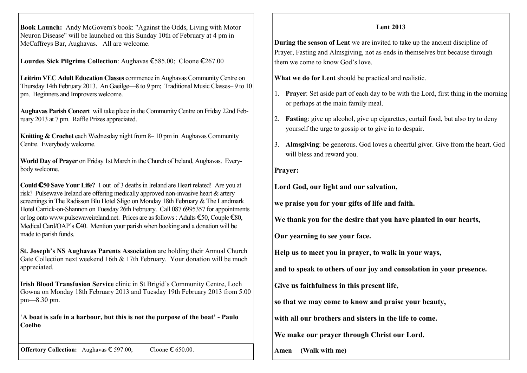**Book Launch:** Andy McGovern's book: "Against the Odds, Living with Motor Neuron Disease" will be launched on this Sunday 10th of February at 4 pm in McCaffreys Bar, Aughavas. All are welcome.

**Lourdes Sick Pilgrims Collection**: Aughavas €585.00; Cloone €267.00

**Leitrim VEC Adult Education Classes** commence in Aughavas Community Centre on Thursday 14th February 2013. An Gaeilge—8 to 9 pm; Traditional Music Classes– 9 to 10 pm. Beginners and Improvers welcome.

**Aughavas Parish Concert** will take place in the Community Centre on Friday 22nd February 2013 at 7 pm. Raffle Prizes appreciated.

**Knitting & Crochet** each Wednesday night from 8– 10 pm in Aughavas Community Centre. Everybody welcome.

**World Day of Prayer** on Friday 1st March in the Church of Ireland, Aughavas. Everybody welcome.

**Could €50 Save Your Life?** 1 out of 3 deaths in Ireland are Heart related! Are you at risk? Pulsewave Ireland are offering medically approved non-invasive heart & artery screenings in The Radisson Blu Hotel Sligo on Monday 18th February & The Landmark Hotel Carrick-on-Shannon on Tuesday 26th February. Call 087 6995357 for appointments or log onto www.pulsewaveireland.net. Prices are as follows : Adults €50, Couple €80, Medical Card/OAP's €40. Mention your parish when booking and a donation will be made to parish funds.

**St. Joseph's NS Aughavas Parents Association** are holding their Annual Church Gate Collection next weekend 16th & 17th February. Your donation will be much appreciated.

**Irish Blood Transfusion Service** clinic in St Brigid's Community Centre, Loch Gowna on Monday 18th February 2013 and Tuesday 19th February 2013 from 5.00 pm—8.30 pm.

'**A boat is safe in a harbour, but this is not the purpose of the boat' - Paulo Coelho**

**Offertory Collection:** Aughavas € 597.00; Cloone € 650.00.

## **Lent 2013**

**During the season of Lent** we are invited to take up the ancient discipline of Prayer, Fasting and Almsgiving, not as ends in themselves but because through them we come to know God's love.

**What we do for Lent** should be practical and realistic.

- 1. **Prayer**: Set aside part of each day to be with the Lord, first thing in the morning or perhaps at the main family meal.
- 2. **Fasting**: give up alcohol, give up cigarettes, curtail food, but also try to deny yourself the urge to gossip or to give in to despair.
- 3. **Almsgiving**: be generous. God loves a cheerful giver. Give from the heart. God will bless and reward you.

## **Prayer:**

**Lord God, our light and our salvation,**

**we praise you for your gifts of life and faith.**

**We thank you for the desire that you have planted in our hearts,**

**Our yearning to see your face.**

**Help us to meet you in prayer, to walk in your ways,**

**and to speak to others of our joy and consolation in your presence.**

**Give us faithfulness in this present life,**

**so that we may come to know and praise your beauty,**

**with all our brothers and sisters in the life to come.**

**We make our prayer through Christ our Lord.**

**Amen (Walk with me)**